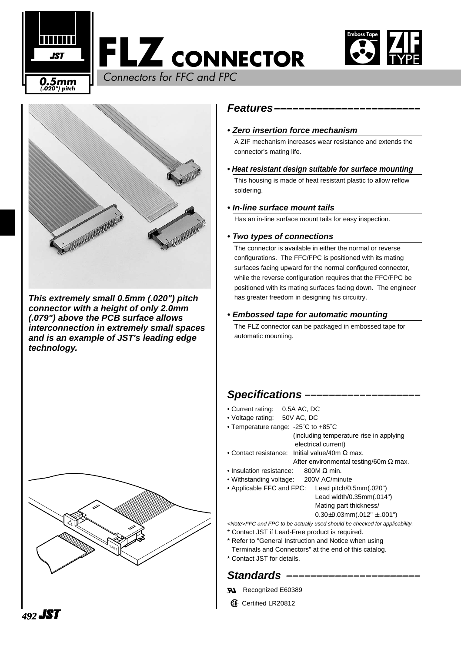





**This extremely small 0.5mm (.020") pitch connector with a height of only 2.0mm (.079") above the PCB surface allows interconnection in extremely small spaces and is an example of JST's leading edge technology.**



#### **Features––––––––––––––––––––––––**

#### **• Zero insertion force mechanism**

A ZIF mechanism increases wear resistance and extends the connector's mating life.

#### **• Heat resistant design suitable for surface mounting**

This housing is made of heat resistant plastic to allow reflow soldering.

#### **• In-line surface mount tails**

Has an in-line surface mount tails for easy inspection.

#### **• Two types of connections**

The connector is available in either the normal or reverse configurations. The FFC/FPC is positioned with its mating surfaces facing upward for the normal configured connector, while the reverse configuration requires that the FFC/FPC be positioned with its mating surfaces facing down. The engineer has greater freedom in designing his circuitry.

#### **• Embossed tape for automatic mounting**

The FLZ connector can be packaged in embossed tape for automatic mounting.

## Specifications -

- Current rating: 0.5A AC, DC
- Voltage rating: 50V AC, DC
- Temperature range: -25˚C to +85˚C
	- (including temperature rise in applying electrical current)
- Contact resistance: Initial value/40m  $\Omega$  max. After environmental testing/60m Ω max.
- Insulation resistance: 800M Ω min.
- Withstanding voltage: 200V AC/minute
- Applicable FFC and FPC: Lead pitch/0.5mm(.020")
	- Lead width/0.35mm(.014") Mating part thickness/  $0.30\pm0.03$ mm $(.012" \pm .001")$

<Note>FFC and FPC to be actually used should be checked for applicability.

- \* Contact JST if Lead-Free product is required.
- \* Refer to "General Instruction and Notice when using
- Terminals and Connectors" at the end of this catalog.
- \* Contact JST for details.

## Standards –

- Recognized E60389
- **1** Certified LR20812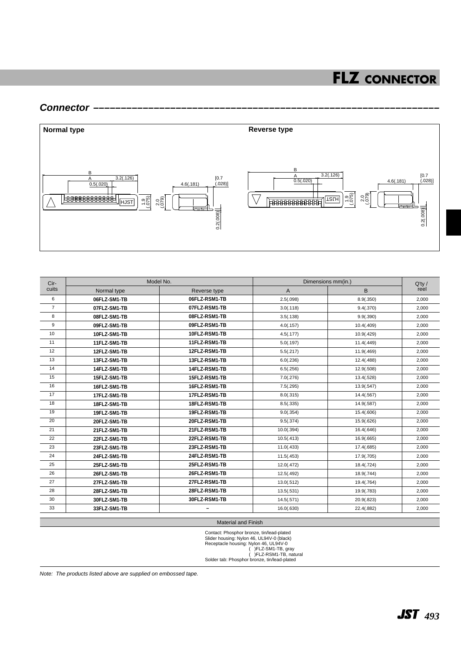#### **Connector –––––––––––––––––––––––––––––––––––––––––––––––––––––––––––––––**



| Cir-<br>cuits   | Model No.    |                          | Dimensions mm(in.) |            | $Q'$ ty / |
|-----------------|--------------|--------------------------|--------------------|------------|-----------|
|                 | Normal type  | Reverse type             | A                  | B          | reel      |
| 6               | 06FLZ-SM1-TB | 06FLZ-RSM1-TB            | 2.5(.098)          | 8.9(.350)  | 2,000     |
| $\overline{7}$  | 07FLZ-SM1-TB | 07FLZ-RSM1-TB            | 3.0(.118)          | 9.4(.370)  | 2,000     |
| 8               | 08FLZ-SM1-TB | 08FLZ-RSM1-TB            | 3.5(.138)          | 9.9(.390)  | 2,000     |
| 9               | 09FLZ-SM1-TB | 09FLZ-RSM1-TB            | 4.0(.157)          | 10.4(.409) | 2,000     |
| 10              | 10FLZ-SM1-TB | 10FLZ-RSM1-TB            | 4.5(.177)          | 10.9(.429) | 2,000     |
| 11              | 11FLZ-SM1-TB | 11FLZ-RSM1-TB            | 5.0(.197)          | 11.4(.449) | 2,000     |
| 12              | 12FLZ-SM1-TB | 12FLZ-RSM1-TB            | 5.5(.217)          | 11.9(.469) | 2,000     |
| 13              | 13FLZ-SM1-TB | 13FLZ-RSM1-TB            | 6.0(.236)          | 12.4(.488) | 2,000     |
| 14              | 14FLZ-SM1-TB | 14FLZ-RSM1-TB            | 6.5(.256)          | 12.9(.508) | 2,000     |
| 15              | 15FLZ-SM1-TB | 15FLZ-RSM1-TB            | 7.0(.276)          | 13.4(.528) | 2,000     |
| 16              | 16FLZ-SM1-TB | 16FLZ-RSM1-TB            | 7.5(.295)          | 13.9(.547) | 2,000     |
| 17              | 17FLZ-SM1-TB | 17FLZ-RSM1-TB            | 8.0(.315)          | 14.4(.567) | 2,000     |
| 18              | 18FLZ-SM1-TB | 18FLZ-RSM1-TB            | 8.5(.335)          | 14.9(.587) | 2,000     |
| 19              | 19FLZ-SM1-TB | 19FLZ-RSM1-TB            | 9.0(.354)          | 15.4(.606) | 2,000     |
| $\overline{20}$ | 20FLZ-SM1-TB | 20FLZ-RSM1-TB            | 9.5(.374)          | 15.9(.626) | 2,000     |
| $\overline{21}$ | 21FLZ-SM1-TB | 21FLZ-RSM1-TB            | 10.0(.394)         | 16.4(.646) | 2.000     |
| $\overline{22}$ | 22FLZ-SM1-TB | 22FLZ-RSM1-TB            | 10.5(.413)         | 16.9(.665) | 2,000     |
| 23              | 23FLZ-SM1-TB | 23FLZ-RSM1-TB            | 11.0(.433)         | 17.4(.685) | 2,000     |
| 24              | 24FLZ-SM1-TB | 24FLZ-RSM1-TB            | 11.5(.453)         | 17.9(.705) | 2,000     |
| 25              | 25FLZ-SM1-TB | 25FLZ-RSM1-TB            | 12.0(.472)         | 18.4(.724) | 2,000     |
| 26              | 26FLZ-SM1-TB | 26FLZ-RSM1-TB            | 12.5(.492)         | 18.9(.744) | 2,000     |
| 27              | 27FLZ-SM1-TB | 27FLZ-RSM1-TB            | 13.0(.512)         | 19.4(.764) | 2,000     |
| 28              | 28FLZ-SM1-TB | 28FLZ-RSM1-TB            | 13.5(.531)         | 19.9(.783) | 2,000     |
| 30              | 30FLZ-SM1-TB | 30FLZ-RSM1-TB            | 14.5(.571)         | 20.9(.823) | 2,000     |
| 33              | 33FLZ-SM1-TB | $\overline{\phantom{a}}$ | 16.0(.630)         | 22.4(.882) | 2,000     |

#### Material and Finish

Contact: Phosphor bronze, tin/lead-plated<br>Slider housing: Nylon 46, UL94V-0<br>Receptacle housing: Nylon 46, UL94V-0<br>( )FLZ-SM1-TB, gray<br>Solder tab: Phosphor bronze, tin/lead-plated<br>Solder tab: Phosphor bronze, tin/lead-plate

Note: The products listed above are supplied on embossed tape.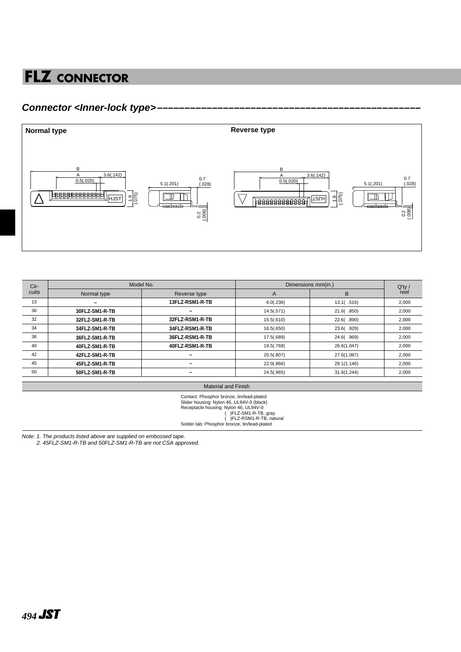### **Connector <Inner-lock type>––––––––––––––––––––––––––––––––––––––––––––––––**



| Model No.      |                 | Dimensions mm(in.) |             | $Q'$ ty / |
|----------------|-----------------|--------------------|-------------|-----------|
| Normal type    | Reverse type    | A                  | B           | reel      |
| -              | 13FLZ-RSM1-R-TB | 6.0(.236)          | 13.1(.516)  | 2,000     |
| 30FLZ-SM1-R-TB |                 | 14.5(.571)         | 21.6( .850) | 2,000     |
| 32FLZ-SM1-R-TB | 32FLZ-RSM1-R-TB | 15.5(.610)         | 22.6(.890)  | 2,000     |
| 34FLZ-SM1-R-TB | 34FLZ-RSM1-R-TB | 16.5(.650)         | 23.6(.929)  | 2,000     |
| 36FLZ-SM1-R-TB | 36FLZ-RSM1-R-TB | 17.5(.689)         | 24.6(.969)  | 2,000     |
| 40FLZ-SM1-R-TB | 40FLZ-RSM1-R-TB | 19.5(.768)         | 26.6(1.047) | 2,000     |
| 42FLZ-SM1-R-TB |                 | 20.5(.807)         | 27.6(1.087) | 2,000     |
| 45FLZ-SM1-R-TB | -               | 22.0(.866)         | 29.1(1.146) | 2,000     |
| 50FLZ-SM1-R-TB |                 | 24.5(.965)         | 31.6(1.244) | 2,000     |
|                |                 |                    |             |           |

Material and Finish

Contact: Phosphor bronze, tin/lead-plated<br>Slider housing: Nylon 46, UL94V-0<br>(black)<br>Receptacle housing: Nylon 46, UL94V-0<br>(PEZ-SM1-R-TB, gray<br>(PEZ-RSM1-R-TB, natural<br>Solder tab: Phosphor bronze, tin/lead-plated

Note: 1. The products listed above are supplied on embossed tape.

2. 45FLZ-SM1-R-TB and 50FLZ-SM1-R-TB are not CSA approved.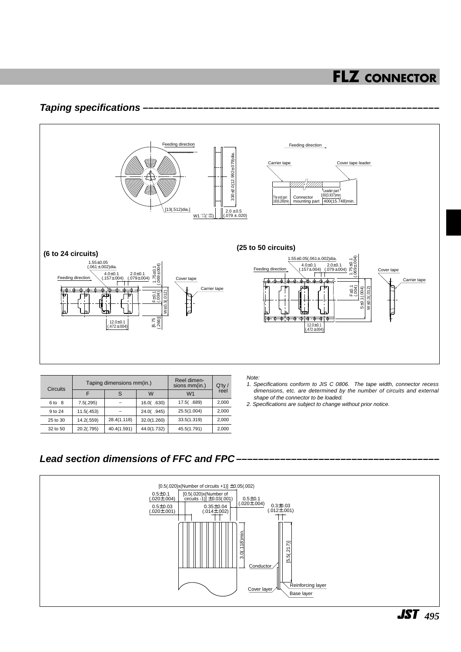### **Taping specifications**



| <b>Circuits</b> | Taping dimensions mm(in.) |             |             | Reel dimen-<br>sions mm(in.) | $Q'$ ty / |
|-----------------|---------------------------|-------------|-------------|------------------------------|-----------|
|                 |                           |             | W           | W <sub>1</sub>               | reel      |
| 6 to 8          | 7.5(.295)                 |             | 16.0( .630) | 17.5(.689)                   | 2,000     |
| 9 to 24         | 11.5(.453)                |             | 24.0(.945)  | 25.5(1.004)                  | 2,000     |
| 25 to 30        | 14.2(.559)                | 28.4(1.118) | 32.0(1.260) | 33.5(1.319)                  | 2,000     |
| 32 to 50        | 20.2(.795)                | 40.4(1.591) | 44.0(1.732) | 45.5(1.791)                  | 2,000     |

Note:

- 1. Specifications conform to JIS C 0806. The tape width, connector recess dimensions, etc. are determined by the number of circuits and external shape of the connector to be loaded.
- 2. Specifications are subject to change without prior notice.

### Lead section dimensions of FFC and FPC -